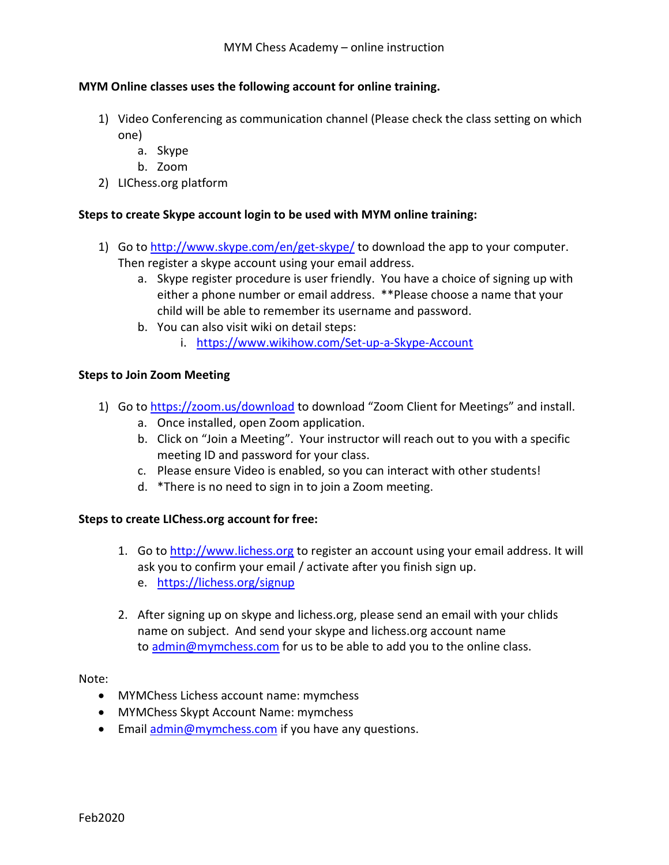## MYM Online classes uses the following account for online training.

- 1) Video Conferencing as communication channel (Please check the class setting on which one)
	- a. Skype
	- b. Zoom
- 2) LIChess.org platform

## Steps to create Skype account login to be used with MYM online training:

- 1) Go to http://www.skype.com/en/get-skype/ to download the app to your computer. Then register a skype account using your email address.
	- a. Skype register procedure is user friendly. You have a choice of signing up with either a phone number or email address. \*\*Please choose a name that your child will be able to remember its username and password.
	- b. You can also visit wiki on detail steps:
		- i. https://www.wikihow.com/Set-up-a-Skype-Account

## Steps to Join Zoom Meeting

- 1) Go to https://zoom.us/download to download "Zoom Client for Meetings" and install.
	- a. Once installed, open Zoom application.
	- b. Click on "Join a Meeting". Your instructor will reach out to you with a specific meeting ID and password for your class.
	- c. Please ensure Video is enabled, so you can interact with other students!
	- d. \*There is no need to sign in to join a Zoom meeting.

## Steps to create LIChess.org account for free:

- 1. Go to http://www.lichess.org to register an account using your email address. It will ask you to confirm your email / activate after you finish sign up. e. https://lichess.org/signup
- 2. After signing up on skype and lichess.org, please send an email with your chlids name on subject. And send your skype and lichess.org account name to admin@mymchess.com for us to be able to add you to the online class.

Note:

- MYMChess Lichess account name: mymchess
- MYMChess Skypt Account Name: mymchess
- **Email admin@mymchess.com if you have any questions.**